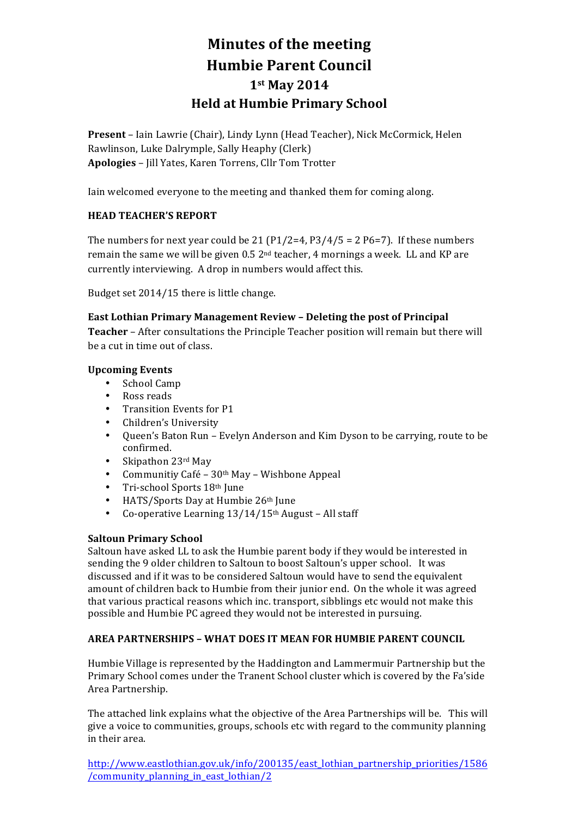# **Minutes of the meeting Humbie Parent Council 1st May 2014 Held at Humbie Primary School**

**Present** – Iain Lawrie (Chair), Lindy Lynn (Head Teacher), Nick McCormick, Helen Rawlinson, Luke Dalrymple, Sally Heaphy (Clerk) Apologies - Jill Yates, Karen Torrens, Cllr Tom Trotter

Iain welcomed everyone to the meeting and thanked them for coming along.

# **HEAD TEACHER'S REPORT**

The numbers for next year could be 21 (P1/2=4, P3/4/5 = 2 P6=7). If these numbers remain the same we will be given 0.5  $2<sup>nd</sup>$  teacher, 4 mornings a week. LL and KP are currently interviewing. A drop in numbers would affect this.

Budget set 2014/15 there is little change.

**East Lothian Primary Management Review - Deleting the post of Principal Teacher** – After consultations the Principle Teacher position will remain but there will be a cut in time out of class.

## **Upcoming Events**

- School Camp
- Ross reads<br>• Transition
- Transition Events for P1
- Children's University
- Queen's Baton Run Evelyn Anderson and Kim Dyson to be carrying, route to be confirmed.
- Skipathon 23rd May
- Communitiy Café 30<sup>th</sup> May Wishbone Appeal
- Tri-school Sports 18th June
- HATS/Sports Day at Humbie 26th June
- Co-operative Learning  $13/14/15$ <sup>th</sup> August All staff

## **Saltoun Primary School**

Saltoun have asked LL to ask the Humbie parent body if they would be interested in sending the 9 older children to Saltoun to boost Saltoun's upper school. It was discussed and if it was to be considered Saltoun would have to send the equivalent amount of children back to Humbie from their junior end. On the whole it was agreed that various practical reasons which inc. transport, sibblings etc would not make this possible and Humbie PC agreed they would not be interested in pursuing.

# **AREA PARTNERSHIPS - WHAT DOES IT MEAN FOR HUMBIE PARENT COUNCIL**

Humbie Village is represented by the Haddington and Lammermuir Partnership but the Primary School comes under the Tranent School cluster which is covered by the Fa'side Area Partnership.

The attached link explains what the objective of the Area Partnerships will be. This will give a voice to communities, groups, schools etc with regard to the community planning in their area.